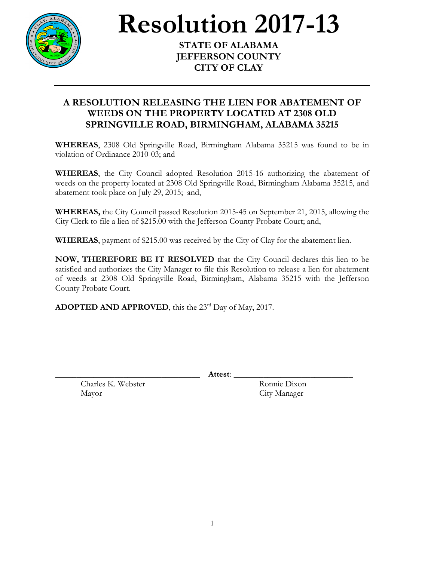

## **Resolution 2017-13**

**JEFFERSON COUNTY CITY OF CLAY**

## **A RESOLUTION RELEASING THE LIEN FOR ABATEMENT OF WEEDS ON THE PROPERTY LOCATED AT 2308 OLD SPRINGVILLE ROAD, BIRMINGHAM, ALABAMA 35215**

**WHEREAS**, 2308 Old Springville Road, Birmingham Alabama 35215 was found to be in violation of Ordinance 2010-03; and

**WHEREAS**, the City Council adopted Resolution 2015-16 authorizing the abatement of weeds on the property located at 2308 Old Springville Road, Birmingham Alabama 35215, and abatement took place on July 29, 2015; and,

**WHEREAS,** the City Council passed Resolution 2015-45 on September 21, 2015, allowing the City Clerk to file a lien of \$215.00 with the Jefferson County Probate Court; and,

**WHEREAS**, payment of \$215.00 was received by the City of Clay for the abatement lien.

**NOW, THEREFORE BE IT RESOLVED** that the City Council declares this lien to be satisfied and authorizes the City Manager to file this Resolution to release a lien for abatement of weeds at 2308 Old Springville Road, Birmingham, Alabama 35215 with the Jefferson County Probate Court.

**ADOPTED AND APPROVED**, this the 23<sup>rd</sup> Day of May, 2017.

\_\_\_\_\_\_\_\_\_\_\_\_\_\_\_\_\_\_\_\_\_\_\_\_\_\_\_\_\_\_\_\_\_\_ **Attest**: \_\_\_\_\_\_\_\_\_\_\_\_\_\_\_\_\_\_\_\_\_\_\_\_\_\_\_\_

Charles K. Webster Ronnie Dixon Mayor City Manager